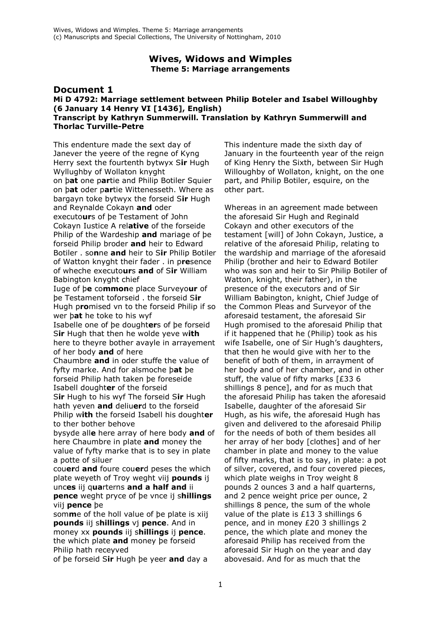## **Wives, Widows and Wimples Theme 5: Marriage arrangements**

### **Document 1 Mi D 4792: Marriage settlement between Philip Boteler and Isabel Willoughby (6 January 14 Henry VI [1436], English) Transcript by Kathryn Summerwill. Translation by Kathryn Summerwill and Thorlac Turville-Petre**

This endenture made the sext day of Janever the yeere of the regne of Kyng Herry sext the fourtenth bytwyx S**ir** Hugh Wyllughby of Wollaton knyght on þ**at** one p**ar**tie and Philip Botiler Squier on þ**at** oder p**ar**tie Wittenesseth. Where as bargayn toke bytwyx the forseid S**ir** Hugh and Reynalde Cokayn **and** oder executo**ur**s of þe Testament of John Cokayn Iustice A rel**ative** of the forseide Philip of the Wardeship **and** mariage of þe forseid Philip broder **and** heir to Edward Botiler . so**n**ne **and** heir to S**ir** Philip Botiler of Watton knyght their fader . in p**re**sence of wheche executo**ur**s **and** of S**ir** William Babington knyght chief

Iuge of þ**e** co**mmon**e place Surveyo**ur** of þe Testament toforseid . the forseid S**ir** Hugh p**ro**mised vn to the forseid Philip if so wer þ**at** he toke to his wyf

Isabelle one of þe dought**er**s of þe forseid S**ir** Hugh that then he wolde yeve w**ith** here to theyre bother avayle in arrayement of her body **and** of here

Chaumbre **and** in oder stuffe the value of fyfty marke. And for alsmoche þ**at** þe forseid Philip hath taken þe foreseide Isabell dought**er** of the forseid S**ir** Hugh to his wyf The forseid S**ir** Hugh

hath yeven **and** deliu**er**d to the forseid Philip w**ith** the forseid Isabell his dought**er** to ther bother behove

bysyde all**e** here array of here body **and** of here Chaumbre in plate **and** money the value of fyfty marke that is to sey in plate a potte of siluer

cou**er**d **and** foure cou**er**d peses the which plate weyeth of Troy weght viij **pounds** ij unc**es** iij q**ua**rterns **and a half and** ii **pence** weght pryce of þe vnce ij s**hillings** viij **pence** þe

som**m**e of the holl value of þe plate is xiij **pounds** iij s**hillings** vj **pence**. And in money xx **pounds** iij s**hillings** ij **pence**. the which plate **and** money þe forseid Philip hath receyved

of þe forseid S**ir** Hugh þe yeer **and** day a

This indenture made the sixth day of January in the fourteenth year of the reign of King Henry the Sixth, between Sir Hugh Willoughby of Wollaton, knight, on the one part, and Philip Botiler, esquire, on the other part.

Whereas in an agreement made between the aforesaid Sir Hugh and Reginald Cokayn and other executors of the testament [will] of John Cokayn, Justice, a relative of the aforesaid Philip, relating to the wardship and marriage of the aforesaid Philip (brother and heir to Edward Botiler who was son and heir to Sir Philip Botiler of Watton, knight, their father), in the presence of the executors and of Sir William Babington, knight, Chief Judge of the Common Pleas and Surveyor of the aforesaid testament, the aforesaid Sir Hugh promised to the aforesaid Philip that if it happened that he (Philip) took as his wife Isabelle, one of Sir Hugh's daughters, that then he would give with her to the benefit of both of them, in arrayment of her body and of her chamber, and in other stuff, the value of fifty marks [£33 6 shillings 8 pence], and for as much that the aforesaid Philip has taken the aforesaid Isabelle, daughter of the aforesaid Sir Hugh, as his wife, the aforesaid Hugh has given and delivered to the aforesaid Philip for the needs of both of them besides all her array of her body [clothes] and of her chamber in plate and money to the value of fifty marks, that is to say, in plate: a pot of silver, covered, and four covered pieces, which plate weighs in Troy weight 8 pounds 2 ounces 3 and a half quarterns, and 2 pence weight price per ounce, 2 shillings 8 pence, the sum of the whole value of the plate is £13 3 shillings 6 pence, and in money £20 3 shillings 2 pence, the which plate and money the aforesaid Philip has received from the aforesaid Sir Hugh on the year and day abovesaid. And for as much that the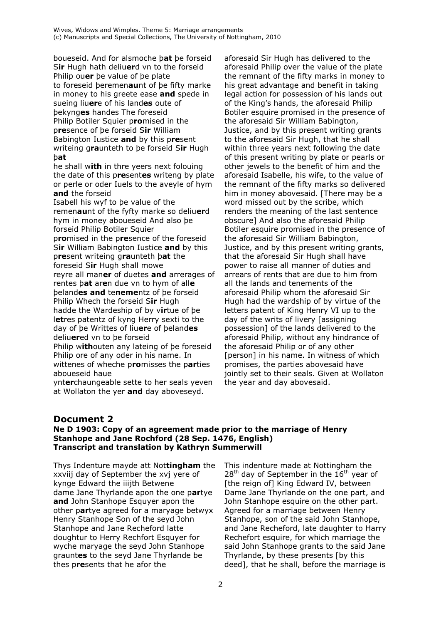boueseid. And for alsmoche þ**at** þe forseid S**ir** Hugh hath deliu**er**d vn to the forseid Philip ou**er** þe value of þe plate to foreseid þeremen**au**nt of þe fifty marke in money to his greete ease **and** spede in sueing liu**er**e of his land**es** oute of þekyng**es** handes The foreseid Philip Botiler Squier p**ro**mised in the p**re**sence of þe forseid S**ir** William Babington Iustice **and** by this p**re**sent writeing g**ra**unteth to þe forseid S**ir** Hugh þ**at**

he shall w**ith** in thre yeers next folouing the date of this p**re**sent**es** writeng by plate or perle or oder Iuels to the aveyle of hym **and** the forseid

Isabell his wyf to þe value of the remen**au**nt of the fyfty marke so deliu**er**d hym in money aboueseid And also þe forseid Philip Botiler Squier p**ro**mised in the p**re**sence of the foreseid

S**ir** William Babington Iustice **and** by this p**re**sent writeing g**ra**unteth þ**at** the foreseid S**ir** Hugh shall mowe reyre all man**er** of duetes **and** arrerages of rentes þ**at** ar**e**n due vn to hym of all**e** þeland**es and** te**neme**ntz of þe forseid Philip Whech the forseid S**ir** Hugh hadde the Wardeship of by v**ir**tue of þe l**et**res patentz of kyng Herry sexti to the day of þe Writtes of liu**er**e of þeland**es** deliu**er**ed vn to þe forseid Philip w**ith**outen any lateing of þe foreseid Philip ore of any oder in his name. In

wittenes of wheche p**ro**misses the p**ar**ties aboueseid haue

ynt**er**chaungeable sette to her seals yeven at Wollaton the yer **and** day aboveseyd.

aforesaid Sir Hugh has delivered to the aforesaid Philip over the value of the plate the remnant of the fifty marks in money to his great advantage and benefit in taking legal action for possession of his lands out of the King's hands, the aforesaid Philip Botiler esquire promised in the presence of the aforesaid Sir William Babington, Justice, and by this present writing grants to the aforesaid Sir Hugh, that he shall within three years next following the date of this present writing by plate or pearls or other jewels to the benefit of him and the aforesaid Isabelle, his wife, to the value of the remnant of the fifty marks so delivered him in money abovesaid. [There may be a word missed out by the scribe, which renders the meaning of the last sentence obscure] And also the aforesaid Philip Botiler esquire promised in the presence of the aforesaid Sir William Babington, Justice, and by this present writing grants, that the aforesaid Sir Hugh shall have power to raise all manner of duties and arrears of rents that are due to him from all the lands and tenements of the aforesaid Philip whom the aforesaid Sir Hugh had the wardship of by virtue of the letters patent of King Henry VI up to the day of the writs of livery [assigning possession] of the lands delivered to the aforesaid Philip, without any hindrance of the aforesaid Philip or of any other [person] in his name. In witness of which promises, the parties abovesaid have jointly set to their seals. Given at Wollaton the year and day abovesaid.

# **Document 2**

### **Ne D 1903: Copy of an agreement made prior to the marriage of Henry Stanhope and Jane Rochford (28 Sep. 1476, English) Transcript and translation by Kathryn Summerwill**

Thys Indenture mayde att Not**tingham** the xxviij day of September the xvj yere of kynge Edward the iiijth Betwene dame Jane Thyrlande apon the one p**ar**tye **and** John Stanhope Esquyer apon the other p**ar**tye agreed for a maryage betwyx Henry Stanhope Son of the seyd John Stanhope and Jane Recheford latte doughtur to Herry Rechfort Esquyer for wyche maryage the seyd John Stanhope graunt**es** to the seyd Jane Thyrlande be thes p**re**sents that he afor the

This indenture made at Nottingham the  $28<sup>th</sup>$  day of September in the  $16<sup>th</sup>$  year of [the reign of] King Edward IV, between Dame Jane Thyrlande on the one part, and John Stanhope esquire on the other part. Agreed for a marriage between Henry Stanhope, son of the said John Stanhope, and Jane Recheford, late daughter to Harry Rechefort esquire, for which marriage the said John Stanhope grants to the said Jane Thyrlande, by these presents [by this deed], that he shall, before the marriage is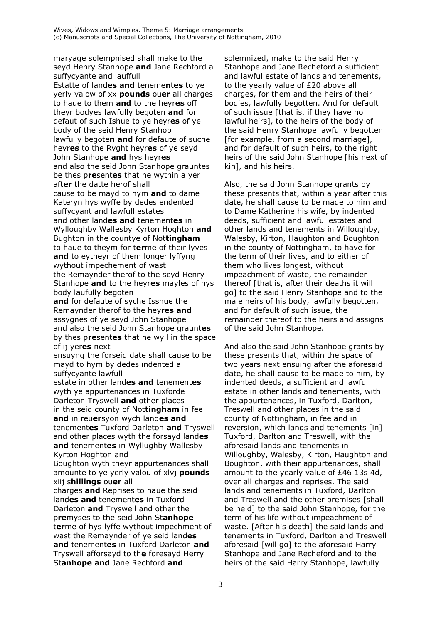maryage solempnised shall make to the seyd Henry Stanhope and Jane Rechford a suffycyante and lauffull Estatte of landes and tenementes to ye yerly valow of xx pounds ouer all charges to haue to them and to the heyres off theyr bodyes lawfully begoten and for defaut of such Ishue to ye heyres of ye body of the seid Henry Stanhop lawfully begoten and for defaute of suche heyres to the Ryght heyres of ye seyd John Stanhope and hys heyres and also the seid John Stanhope grauntes be thes presentes that he wythin a yer after the datte herof shall cause to be mayd to hym and to dame Kateryn hys wyffe by dedes endented suffycyant and lawfull estates and other landes and tenementes in Wylloughby Wallesby Kyrton Hoghton and Bughton in the countye of Nottingham to haue to theym for terme of their lyves and to eytheyr of them longer lyffyng wythout impechement of wast the Remaynder therof to the seyd Henry Stanhope and to the heyres mayles of hys body laufully begoten

and for defaute of syche Isshue the Remaynder therof to the heyres and assygnes of ye seyd John Stanhope and also the seid John Stanhope grauntes by thes presentes that he wyll in the space of ij veres next

ensuyng the forseid date shall cause to be mayd to hym by dedes indented a suffycyante lawfull

estate in other landes and tenementes wyth ye appurtenances in Tuxforde Darleton Tryswell and other places in the seid county of Nottingham in fee and in reuersyon wych landes and tenementes Tuxford Darleton and Tryswell and other places wyth the forsayd landes and tenementes in Wyllughby Wallesby Kyrton Hoghton and

Boughton wyth theyr appurtenances shall amounte to ye yerly valou of xlvj pounds xiij shillings ouer all

charges and Reprises to haue the seid landes and tenementes in Tuxford Darleton and Tryswell and other the premyses to the seid John Stanhope terme of hys lyffe wythout impechment of wast the Remaynder of ye seid landes and tenementes in Tuxford Darleton and Tryswell afforsayd to the foresayd Herry Stanhope and Jane Rechford and

solemnized, make to the said Henry Stanhope and Jane Recheford a sufficient and lawful estate of lands and tenements, to the yearly value of £20 above all charges, for them and the heirs of their bodies, lawfully begotten. And for default of such issue [that is, if they have no lawful heirs], to the heirs of the body of the said Henry Stanhope lawfully begotten [for example, from a second marriage], and for default of such heirs, to the right heirs of the said John Stanhope [his next of kin], and his heirs.

Also, the said John Stanhope grants by these presents that, within a year after this date, he shall cause to be made to him and to Dame Katherine his wife, by indented deeds, sufficient and lawful estates and other lands and tenements in Willoughby, Walesby, Kirton, Haughton and Boughton in the county of Nottingham, to have for the term of their lives, and to either of them who lives longest, without impeachment of waste, the remainder thereof [that is, after their deaths it will go] to the said Henry Stanhope and to the male heirs of his body, lawfully begotten, and for default of such issue, the remainder thereof to the heirs and assigns of the said John Stanhope.

And also the said John Stanhope grants by these presents that, within the space of two years next ensuing after the aforesaid date, he shall cause to be made to him, by indented deeds, a sufficient and lawful estate in other lands and tenements, with the appurtenances, in Tuxford, Darlton, Treswell and other places in the said county of Nottingham, in fee and in reversion, which lands and tenements [in] Tuxford, Darlton and Treswell, with the aforesaid lands and tenements in Willoughby, Walesby, Kirton, Haughton and Boughton, with their appurtenances, shall amount to the yearly value of £46 13s 4d, over all charges and reprises. The said lands and tenements in Tuxford, Darlton and Treswell and the other premises [shall be held] to the said John Stanhope, for the term of his life without impeachment of waste. [After his death] the said lands and tenements in Tuxford, Darlton and Treswell aforesaid [will go] to the aforesaid Harry Stanhope and Jane Recheford and to the heirs of the said Harry Stanhope, lawfully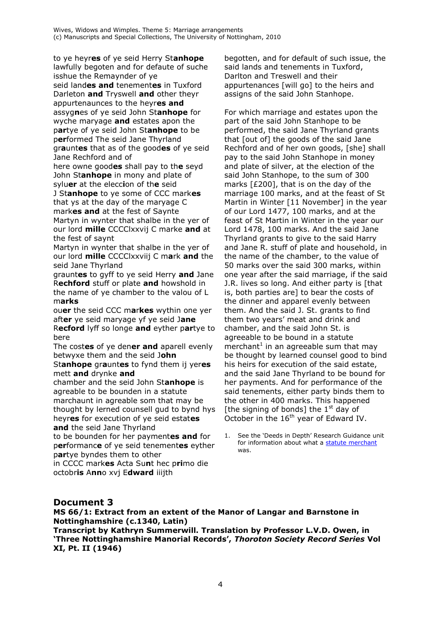to ye heyres of ye seid Herry Stanhope lawfully begoten and for defaute of suche isshue the Remaynder of ye seid landes and tenementes in Tuxford Darleton and Tryswell and other theyr appurtenaunces to the heyres and assygnes of ye seid John Stanhope for wyche maryage and estates apon the partye of ye seid John Stanhope to be performed The seid Jane Thyrland grauntes that as of the goodes of ye seid Jane Rechford and of

here owne goodes shall pay to the seyd John Stanhope in mony and plate of syluer at the eleccion of the seid J Stanhope to ye some of CCC markes that ys at the day of the maryage C markes and at the fest of Saynte Martyn in wynter that shalbe in the yer of our lord mille CCCClxxvij C marke and at the fest of saynt

Martyn in wynter that shalbe in the yer of our lord mille CCCClxxviij C mark and the seid Jane Thyrland

grauntes to gyff to ye seid Herry and Jane Rechford stuff or plate and howshold in the name of ye chamber to the valou of L marks

ouer the seid CCC markes wythin one yer after ye seid maryage yf ye seid Jane Recford lyff so longe and eyther partye to bere

The costes of ve dener and aparell evenly betwyxe them and the seid John Stanhope grauntes to fynd them ij yeres

mett and drynke and

chamber and the seid John Stanhope is agreable to be bounden in a statute marchaunt in agreable som that may be thought by lerned counsell gud to bynd hys heyres for execution of ye seid estates and the seid Jane Thyrland

to be bounden for her paymentes and for performance of ye seid tenementes eyther partye byndes them to other

in CCCC markes Acta Sunt hec primo die octobris Anno xvj Edward iiijth

begotten, and for default of such issue, the said lands and tenements in Tuxford, Darlton and Treswell and their appurtenances [will go] to the heirs and assigns of the said John Stanhope.

For which marriage and estates upon the part of the said John Stanhope to be performed, the said Jane Thyrland grants that [out of] the goods of the said Jane Rechford and of her own goods, [she] shall pay to the said John Stanhope in money and plate of silver, at the election of the said John Stanhope, to the sum of 300 marks [£200], that is on the day of the marriage 100 marks, and at the feast of St Martin in Winter [11 November] in the year of our Lord 1477, 100 marks, and at the feast of St Martin in Winter in the year our Lord 1478, 100 marks. And the said Jane Thyrland grants to give to the said Harry and Jane R. stuff of plate and household, in the name of the chamber, to the value of 50 marks over the said 300 marks, within one year after the said marriage, if the said J.R. lives so long. And either party is [that is, both parties are] to bear the costs of the dinner and apparel evenly between them. And the said J. St. grants to find them two years' meat and drink and chamber, and the said John St. is agreeable to be bound in a statute merchant<sup>1</sup> in an agreeable sum that may be thought by learned counsel good to bind his heirs for execution of the said estate, and the said Jane Thyrland to be bound for her payments. And for performance of the said tenements, either party binds them to the other in 400 marks. This happened [the signing of bonds] the  $1<sup>st</sup>$  day of October in the 16<sup>th</sup> year of Edward IV.

See the 'Deeds in Depth' Research Guidance unit  $1<sup>1</sup>$ for information about what a statute merchant was.

# **Document 3**

MS 66/1: Extract from an extent of the Manor of Langar and Barnstone in Nottinghamshire (c.1340, Latin)

Transcript by Kathryn Summerwill. Translation by Professor L.V.D. Owen, in 'Three Nottinghamshire Manorial Records', Thoroton Society Record Series Vol XI, Pt. II (1946)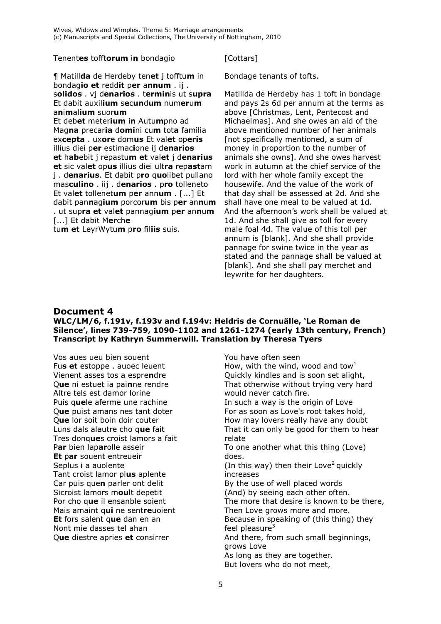Tenent**es** tofft**orum** i**n** bondagio

¶ Matill**da** de Herdeby ten**et** j tofftu**m** in bondag**io et** redd**it** p**er** a**nnum** . ij . s**olidos** . vj d**enarios** . t**ermin**is ut s**upra** Et dabit auxil**ium** s**e**c**un**d**um** num**er**u**m** a**n**i**m**al**ium** suor**um**

Et deb**et** meter**ium** i**n** Autu**m**pno ad Mag**na** precar**ia** d**omi**ni cu**m** tot**a** familia ex**cepta** . ux**or**e dom**us** Et val**et** op**eris** illius diei p**er** estimac**i**one ij d**enarios et** h**ab**ebit j repastu**m et** val**et** j d**enarius et** sic val**et** op**us** illius diei ult**ra** rep**ast**am j . d**enarius**. Et dabit p**ro** q**uo**libet pullano mas**culino** . iij . d**enarios** . p**ro** tolleneto Et val**et** tollenet**um** p**er** ann**um** . [...] Et dabit pan**n**ag**ium** porcor**um** bis p**er** an**n**u**m** . ut sup**ra et** val**et** pannag**ium** p**er** an**n**u**m** [...] Et dabit M**er**ch**e**

tu**m et** LeyrWytu**m** p**ro** fil**iis** suis.

#### [Cottars]

Bondage tenants of tofts.

Matillda de Herdeby has 1 toft in bondage and pays 2s 6d per annum at the terms as above [Christmas, Lent, Pentecost and Michaelmas]. And she owes an aid of the above mentioned number of her animals [not specifically mentioned, a sum of money in proportion to the number of animals she owns]. And she owes harvest work in autumn at the chief service of the lord with her whole family except the housewife. And the value of the work of that day shall be assessed at 2d. And she shall have one meal to be valued at 1d. And the afternoon's work shall be valued at 1d. And she shall give as toll for every male foal 4d. The value of this toll per annum is [blank]. And she shall provide pannage for swine twice in the year as stated and the pannage shall be valued at [blank]. And she shall pay merchet and leywrite for her daughters.

# **Document 4**

### **WLC/LM/6, f.191v, f.193v and f.194v: Heldris de Cornuälle, 'Le Roman de Silence', lines 739-759, 1090-1102 and 1261-1274 (early 13th century, French) Transcript by Kathryn Summerwill. Translation by Theresa Tyers**

Vos aues ueu bien souent Fu**s et** estoppe . auoec leuent Vienent asses tos a espre**n**dre Q**ue** ni estuet ia pai**n**ne rendre Altre tels est damor lorine Puis q**ue**le aferme une rachine Q**ue** puist amans nes tant doter Q**ue** lor soit boin doir couter Luns dals alautre cho q**ue** fait Tres donq**ue**s croist lamors a fait P**ar** bien lap**ar**olle asseir **Et** p**ar** souent entreueir Seplus i a auolente Tant croist lamor pl**us** aplente Car puis que**n** parler ont delit Sicroist lamors m**ou**lt depetit Por cho q**ue** il ensanble soient Mais amaint q**ui** ne sent**re**uoient **Et** fors salent q**ue** dan en an Nont mie dasses tel ahan Q**ue** diestre apries **et** consirrer

You have often seen How, with the wind, wood and tow<sup>1</sup> Quickly kindles and is soon set alight, That otherwise without trying very hard would never catch fire. In such a way is the origin of Love For as soon as Love's root takes hold, How may lovers really have any doubt That it can only be good for them to hear relate To one another what this thing (Love) does. (In this way) then their Love<sup>2</sup> quickly increases By the use of well placed words (And) by seeing each other often. The more that desire is known to be there, Then Love grows more and more. Because in speaking of (this thing) they feel pleasure $3$ And there, from such small beginnings, grows Love As long as they are together. But lovers who do not meet,